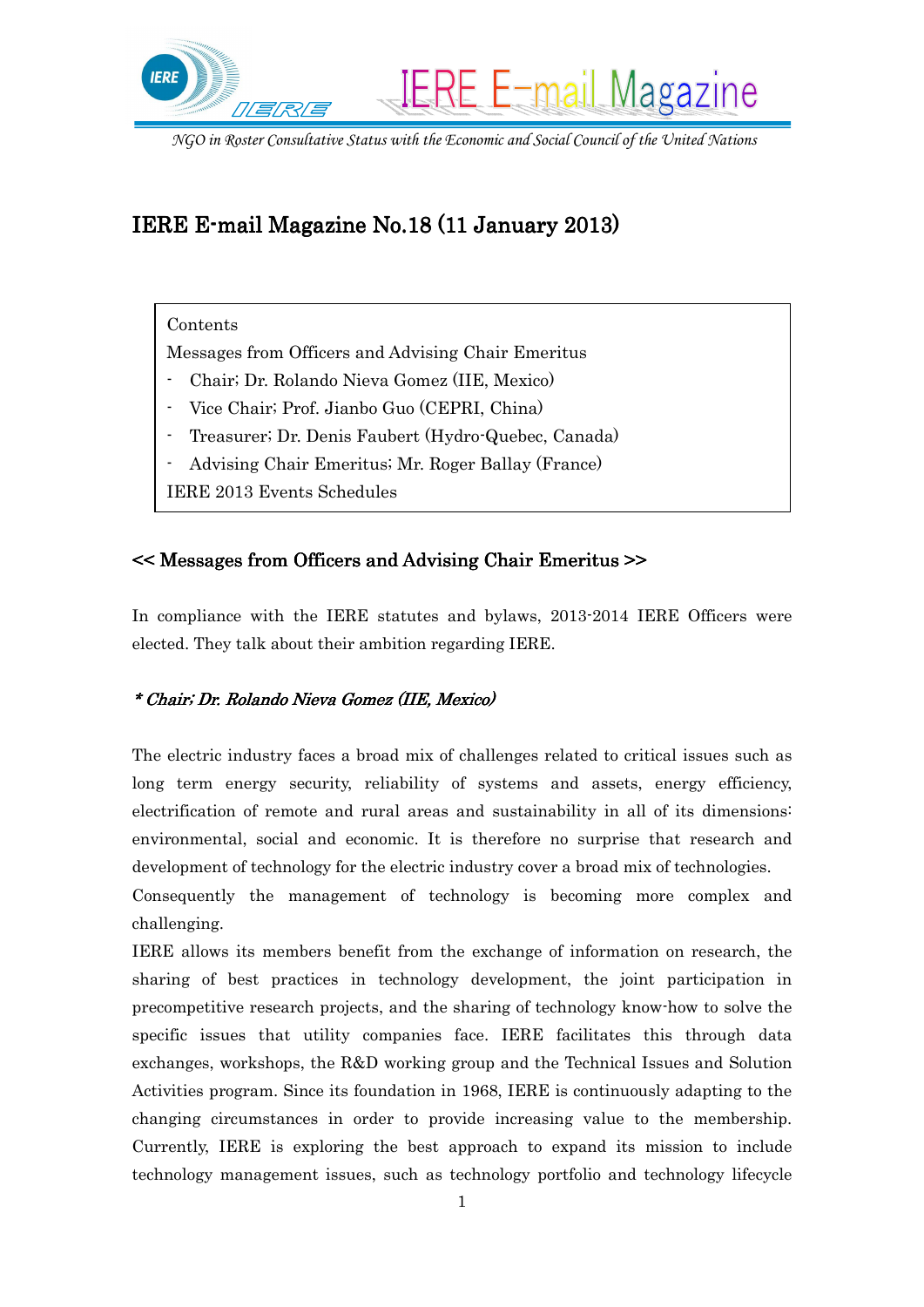

*NGO in Roster Consultative Status with the Economic and Social Council of the United Nations*

# IERE E-mail Magazine No.18 (11 January 2013)

## Contents

Messages from Officers and Advising Chair Emeritus

- Chair; Dr. Rolando Nieva Gomez (IIE, Mexico)
- Vice Chair; Prof. Jianbo Guo (CEPRI, China)
- Treasurer; Dr. Denis Faubert (Hydro-Quebec, Canada)
- Advising Chair Emeritus; Mr. Roger Ballay (France)
- IERE 2013 Events Schedules

# $\leq$  Messages from Officers and Advising Chair Emeritus >>

In compliance with the IERE statutes and bylaws, 2013-2014 IERE Officers were elected. They talk about their ambition regarding IERE.

## \* Chair; Dr. Rolando Nieva Gomez (IIE, Mexico) \* Dr. Gomez Mexico)

The electric industry faces a broad mix of challenges related to critical issues such as long term energy security, reliability of systems and assets, energy efficiency, electrification of remote and rural areas and sustainability in all of its dimensions: environmental, social and economic. It is therefore no surprise that research and development of technology for the electric industry cover a broad mix of technologies.

Consequently the management of technology is becoming more complex and challenging.

IERE allows its members benefit from the exchange of information on research, the sharing of best practices in technology development, the joint participation in precompetitive research projects, and the sharing of technology know-how to solve the specific issues that utility companies face. IERE facilitates this through data exchanges, workshops, the R&D working group and the Technical Issues and Solution Activities program. Since its foundation in 1968, IERE is continuously adapting to the changing circumstances in order to provide increasing value to the membership. Currently, IERE is exploring the best approach to expand its mission to include technology management issues, such as technology portfolio and technology lifecycle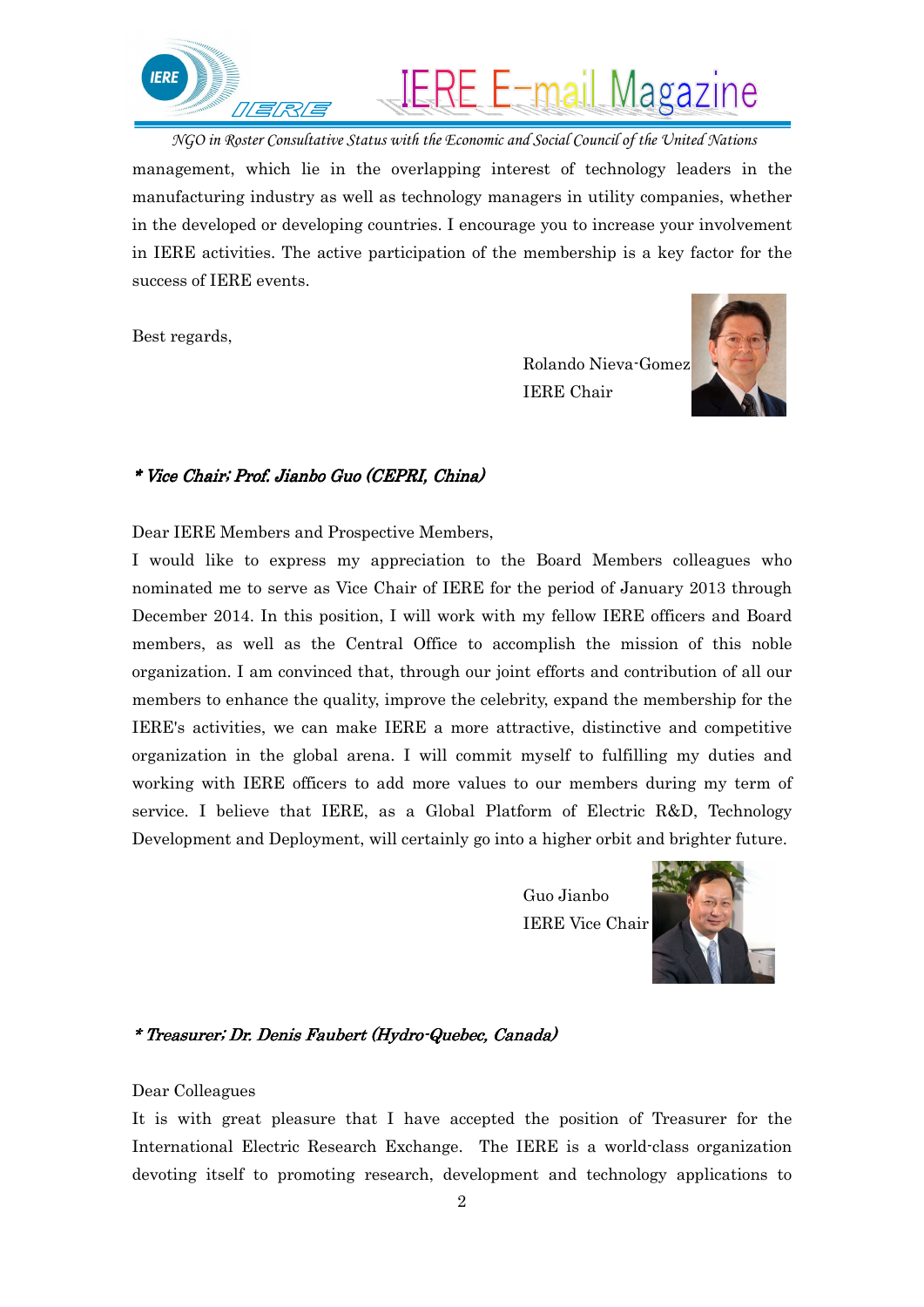

*NGO in Roster Consultative Status with the Economic and Social Council of the United Nations* management, which lie in the overlapping interest of technology leaders in the manufacturing industry as well as technology managers in utility companies, whether in the developed or developing countries. I encourage you to increase your involvement in IERE activities. The active participation of the membership is a key factor for the success of IERE events.

Best regards,

 Rolando Nieva-Gomez IERE Chair



#### \* Vice Chair; Prof. Jianbo Guo (CEPRI, China)

Dear IERE Members and Prospective Members,

I would like to express my appreciation to the Board Members colleagues who nominated me to serve as Vice Chair of IERE for the period of January 2013 through December 2014. In this position, I will work with my fellow IERE officers and Board members, as well as the Central Office to accomplish the mission of this noble organization. I am convinced that, through our joint efforts and contribution of all our members to enhance the quality, improve the celebrity, expand the membership for the IERE's activities, we can make IERE a more attractive, distinctive and competitive organization in the global arena. I will commit myself to fulfilling my duties and working with IERE officers to add more values to our members during my term of service. I believe that IERE, as a Global Platform of Electric R&D, Technology Development and Deployment, will certainly go into a higher orbit and brighter future.

> Guo Jianbo IERE Vice Chair



#### \* Treasurer; Dr. Denis Faubert (Hydro-Quebec, Canada)

Dear Colleagues

It is with great pleasure that I have accepted the position of Treasurer for the International Electric Research Exchange. The IERE is a world-class organization devoting itself to promoting research, development and technology applications to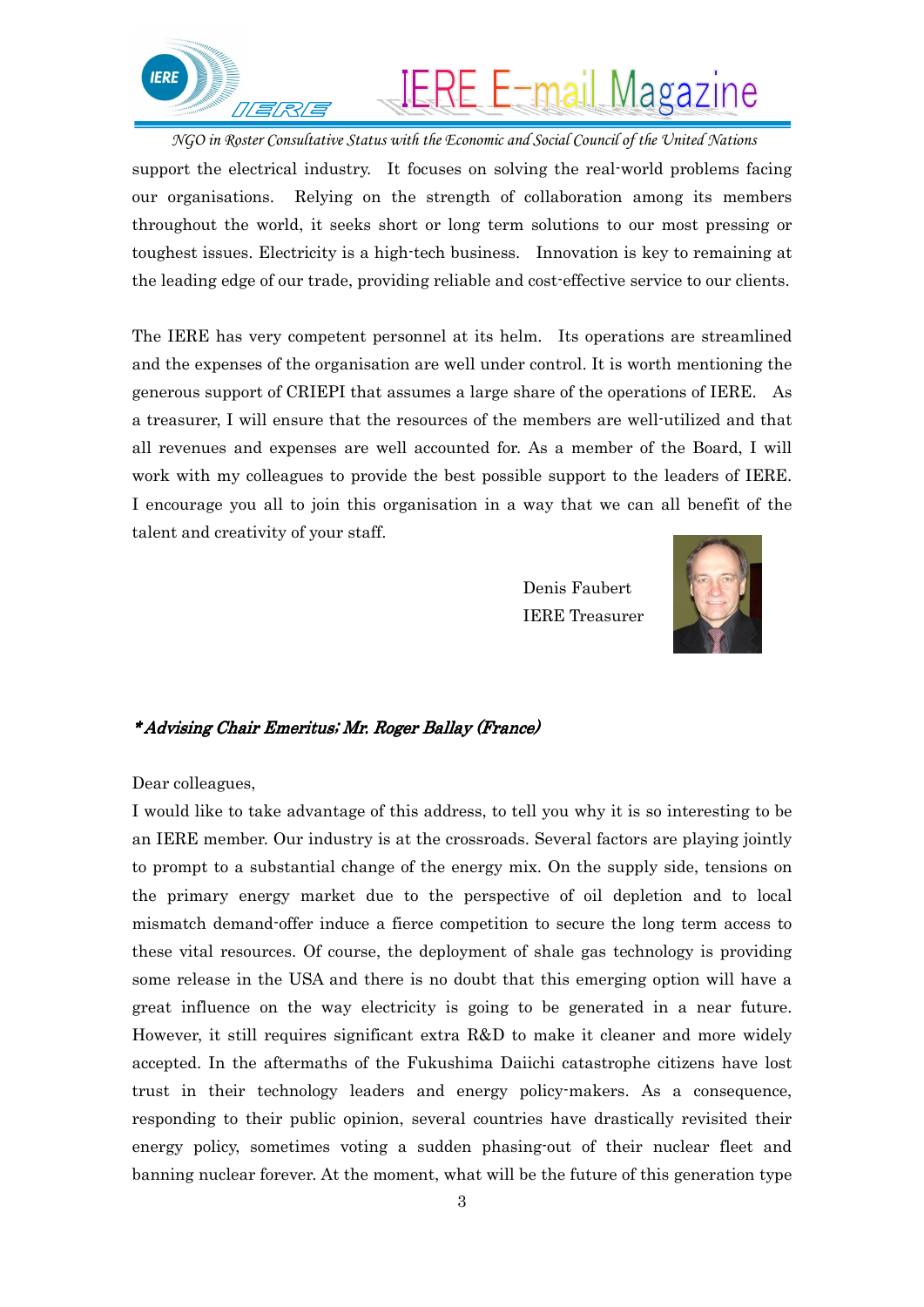

# **IERE E-mail Magazine**

*NGO in Roster Consultative Status with the Economic and Social Council of the United Nations* support the electrical industry. It focuses on solving the real-world problems facing our organisations. Relying on the strength of collaboration among its members throughout the world, it seeks short or long term solutions to our most pressing or toughest issues. Electricity is a high-tech business. Innovation is key to remaining at the leading edge of our trade, providing reliable and cost-effective service to our clients.

The IERE has very competent personnel at its helm. Its operations are streamlined and the expenses of the organisation are well under control. It is worth mentioning the generous support of CRIEPI that assumes a large share of the operations of IERE. As a treasurer, I will ensure that the resources of the members are well-utilized and that all revenues and expenses are well accounted for. As a member of the Board, I will work with my colleagues to provide the best possible support to the leaders of IERE. I encourage you all to join this organisation in a way that we can all benefit of the talent and creativity of your staff.

> Denis Faubert IERE Treasurer



#### \* Advising Chair Emeritus; Mr. Roger Ballay (France)

#### Dear colleagues,

I would like to take advantage of this address, to tell you why it is so interesting to be an IERE member. Our industry is at the crossroads. Several factors are playing jointly to prompt to a substantial change of the energy mix. On the supply side, tensions on the primary energy market due to the perspective of oil depletion and to local mismatch demand-offer induce a fierce competition to secure the long term access to these vital resources. Of course, the deployment of shale gas technology is providing some release in the USA and there is no doubt that this emerging option will have a great influence on the way electricity is going to be generated in a near future. However, it still requires significant extra R&D to make it cleaner and more widely accepted. In the aftermaths of the Fukushima Daiichi catastrophe citizens have lost trust in their technology leaders and energy policy-makers. As a consequence, responding to their public opinion, several countries have drastically revisited their energy policy, sometimes voting a sudden phasing-out of their nuclear fleet and banning nuclear forever. At the moment, what will be the future of this generation type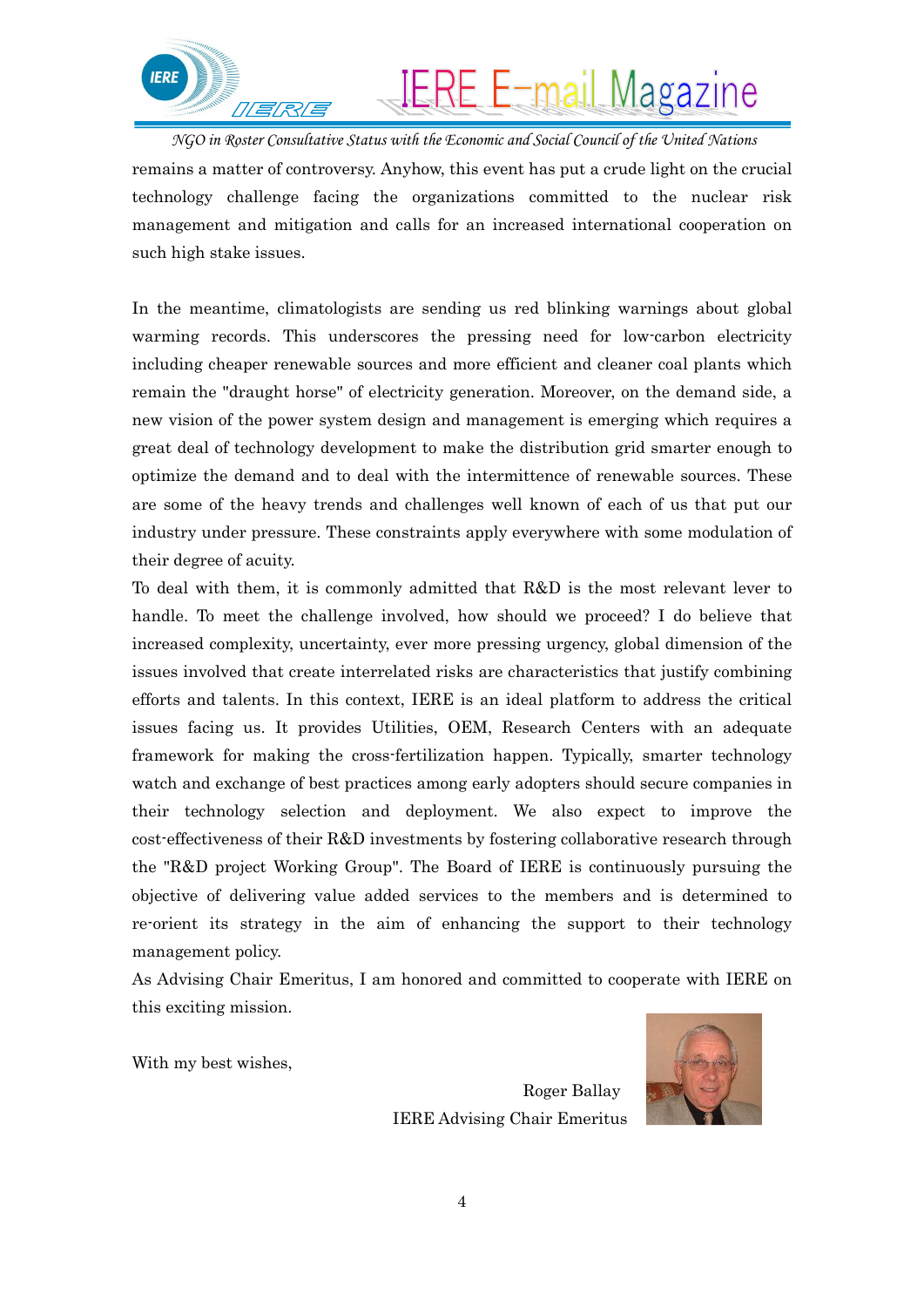

# IERE E-mail Magazine

*NGO in Roster Consultative Status with the Economic and Social Council of the United Nations* remains a matter of controversy. Anyhow, this event has put a crude light on the crucial technology challenge facing the organizations committed to the nuclear risk management and mitigation and calls for an increased international cooperation on such high stake issues.

In the meantime, climatologists are sending us red blinking warnings about global warming records. This underscores the pressing need for low-carbon electricity including cheaper renewable sources and more efficient and cleaner coal plants which remain the "draught horse" of electricity generation. Moreover, on the demand side, a new vision of the power system design and management is emerging which requires a great deal of technology development to make the distribution grid smarter enough to optimize the demand and to deal with the intermittence of renewable sources. These are some of the heavy trends and challenges well known of each of us that put our industry under pressure. These constraints apply everywhere with some modulation of their degree of acuity.

To deal with them, it is commonly admitted that R&D is the most relevant lever to handle. To meet the challenge involved, how should we proceed? I do believe that increased complexity, uncertainty, ever more pressing urgency, global dimension of the issues involved that create interrelated risks are characteristics that justify combining efforts and talents. In this context, IERE is an ideal platform to address the critical issues facing us. It provides Utilities, OEM, Research Centers with an adequate framework for making the cross-fertilization happen. Typically, smarter technology watch and exchange of best practices among early adopters should secure companies in their technology selection and deployment. We also expect to improve the cost-effectiveness of their R&D investments by fostering collaborative research through the "R&D project Working Group". The Board of IERE is continuously pursuing the objective of delivering value added services to the members and is determined to re-orient its strategy in the aim of enhancing the support to their technology management policy.

As Advising Chair Emeritus, I am honored and committed to cooperate with IERE on this exciting mission.

With my best wishes,

 Roger Ballay IERE Advising Chair Emeritus

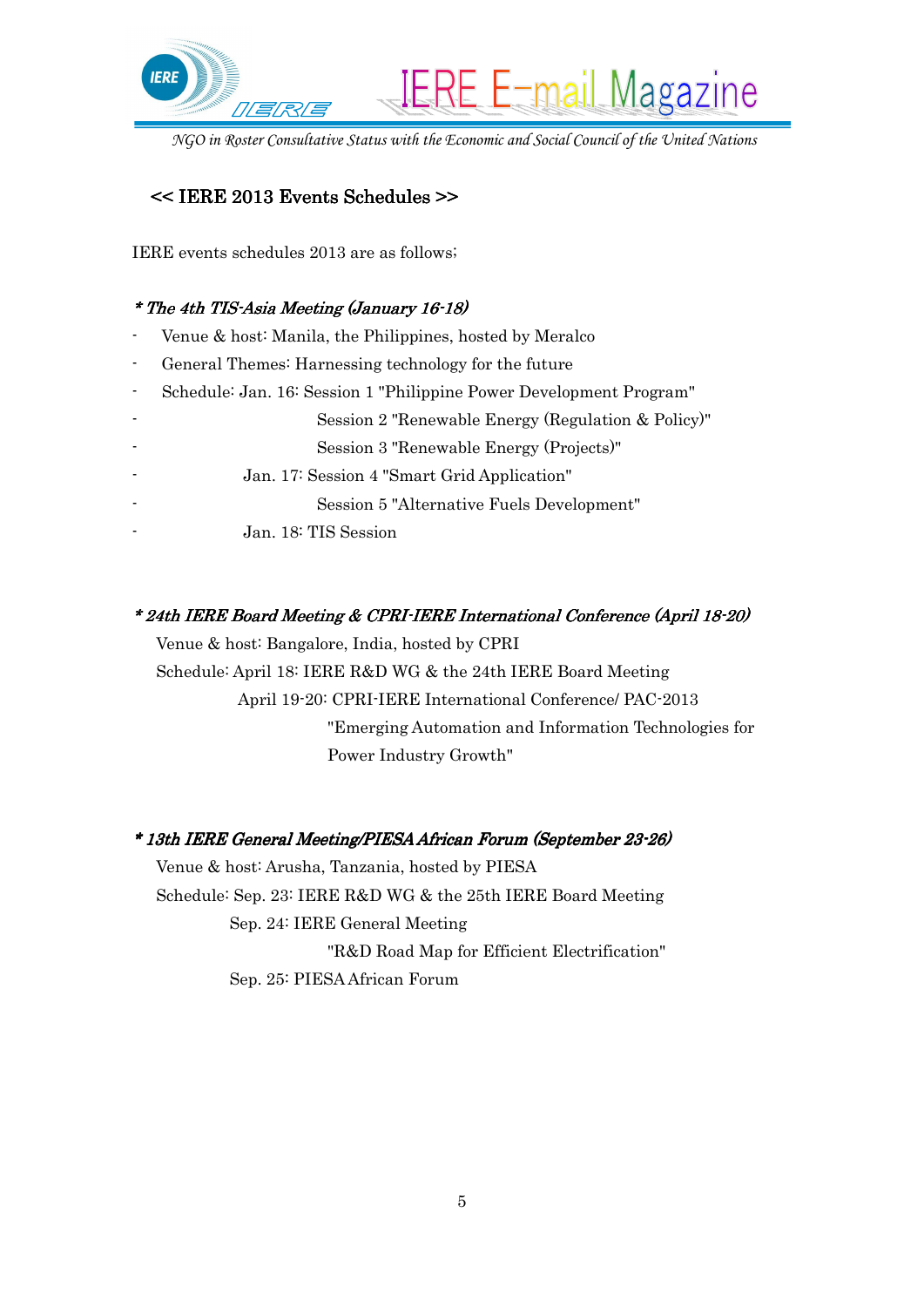

*NGO in Roster Consultative Status with the Economic and Social Council of the United Nations*

# << IERE 2013 Events Schedules >> 2013 Events Schedules >>

IERE events schedules 2013 are as follows;

# \* The 4th TIS-Asia Meeting (January 16-18)

- Venue & host: Manila, the Philippines, hosted by Meralco
- General Themes: Harnessing technology for the future
- Schedule: Jan. 16: Session 1 "Philippine Power Development Program"
	- Session 2 "Renewable Energy (Regulation & Policy)"
		- Session 3 "Renewable Energy (Projects)"
	- Jan. 17: Session 4 "Smart Grid Application"
		- Session 5 "Alternative Fuels Development"
		- Jan. 18: TIS Session

# \* 24th IERE Board Meeting & CPRI-IERE International Conference (April 18-20)

 Venue & host: Bangalore, India, hosted by CPRI Schedule: April 18: IERE R&D WG & the 24th IERE Board Meeting April 19-20: CPRI-IERE International Conference/ PAC-2013 "Emerging Automation and Information Technologies for Power Industry Growth"

## \* 13th IERE General Meeting/PIESA African Forum (September 23-26)

 Venue & host: Arusha, Tanzania, hosted by PIESA Schedule: Sep. 23: IERE R&D WG & the 25th IERE Board Meeting Sep. 24: IERE General Meeting "R&D Road Map for Efficient Electrification" Sep. 25: PIESA African Forum